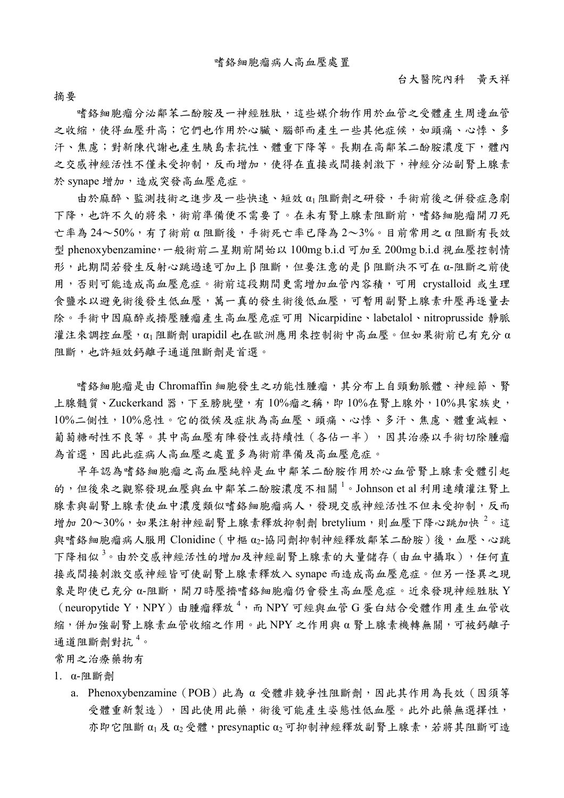摘要嗜鉻細胞瘤分泌鄰苯二酚胺及一神經胜肽,這些媒介物作用於血管之受體產生周邊血管 之收縮,使得血壓升高;它們也作用於心臟、腦部而產生一些其他症候,如頭痛、心悸、多 汗、焦慮;對新陳代謝也產生胰島素抗性、體重下降等。長期在高鄰苯二酚胺濃度下,體內 之交感神經活性不僅未受抑制,反而增加,使得在直接或間接刺激下,神經分泌副腎上腺素 於 synape 增加,造成突發高血壓危症。

由於麻醉、監測技術之進步及一些快速、短效 α1 阻斷劑之研發,手術前後之併發症急劇 下降,也許不久的將來,術前準備便不需要了。在未有腎上腺素阻斷前,嗜絡細胞瘤開刀死 亡率為 24~50%,有了術前 α 阻斷後,手術死亡率已降為 2~3%。目前常用之 α 阻斷有長效 型 phenoxybenzamine,一般術前二星期前開始以 100mg b.i.d 可加至 200mg b.i.d 視血壓控制情 形,此期間若發生反射心跳過速可加上 β 阻斷,但要注意的是 β 阻斷決不可在 α-阻斷之前使 用,否則可能造成高血壓危症。術前這段期間更需增加血管內容積,可用 crystalloid 或生理 食鹽水以避免術後發生低血壓,萬一真的發生術後低血壓,可暫用副腎上腺素升壓再逐量去 除。手術中因麻醉或擠壓腫瘤產生高血壓危症可用 Nicarpidine、labetalol、nitroprusside 靜脈 灌注來調控血壓, α1 阻斷劑 urapidil 也在歐洲應用來控制術中高血壓。但如果術前已有充分 α 阻斷,也許短效鈣離子通道阻斷劑是首選。

嗜鉻細胞瘤是由 Chromaffin 細胞發生之功能性腫瘤,其分布上自頸動脈體、神經節、腎 上腺髓質、Zuckerkand 器,下至膀胱壁,有10%瘤之稱,即10%在腎上腺外,10%具家族史, 10%二側性,10%惡性。它的徵候及症狀為高血壓、頭痛、心悸、多汗、焦慮、體重減輕、 葡萄糖耐性不良等。其中高血壓有陣發性或持續性(各佔一半),因其治療以手術切除腫瘤 為首選,因此此症病人高血壓之處置多為術前準備及高血壓危症。

早年認為嗜鉻細胞瘤之高血壓純粹是血中鄰苯二酚胺作用於心血管腎上腺素受體引起 的,但後來之觀察發現血壓與血中鄰苯二酚胺濃度不相關<sup>1</sup>。Johnson et al 利用連續灌注腎上 腺素與副腎上腺素使血中濃度類似嗜鉻細胞瘤病人,發現交感神經活性不但未受抑制,反而 增加  $20{\sim}30\%$ ,如果注射神經副腎上腺素釋放抑制劑 bretylium,則血壓下降心跳加快  $^2$ 。這 與嗜鉻細胞瘤病人服用 Clonidine (中樞 α2-協同劑抑制神經釋放鄰苯二酚胺)後,血壓、心跳 下降相似<sup>3。</sup>由於交感神經活性的增加及神經副腎上腺素的大量儲存(由血中攝取),任何直 接或間接刺激交感神經皆可使副腎上腺素釋放入 synape 而造成高血壓危症。但另一怪異之現 象是即使已充分 α-阻斷,開刀時壓擠嗜鉻細胞瘤仍會發生高血壓危症。近來發現神經胜肽 Y (neuropytide Y,NPY)由腫瘤釋放<sup>4</sup>,而NPY可經與血管G蛋白結合受體作用產生血管收 縮,併加強副腎上腺素血管收縮之作用。此 NPY 之作用與 α 腎上腺素機轉無關,可被鈣離子 通道阻斷劑對抗<sup>4</sup>。

常用之治療藥物有

1. α-阻斷劑

a. Phenoxybenzamine (POB) 此為 α 受體非競爭性阻斷劑,因此其作用為長效 (因須等 受體重新製造),因此使用此藥,術後可能產生姿態性低血壓。此外此藥無選擇性, 亦即它阻斷  $\alpha_1$  及 $\alpha_2$  受體, presynaptic  $\alpha_2$  可抑制神經釋放副腎上腺素, 若將其阻斷可造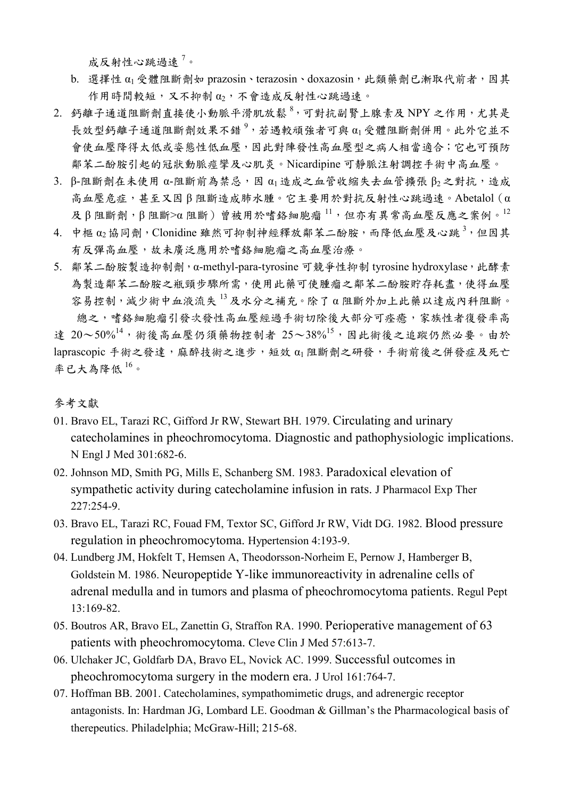成反射性心跳過速<sup>7</sup>。

- b. 選擇性 α1 受體阻斷劑如 prazosin、terazosin、doxazosin,此類藥劑已漸取代前者,因其 作用時間較短,又不抑制 α2,不會造成反射性心跳過速。
- 2. 鈣離子通道阻斷劑直接使小動脈平滑肌放鬆<sup>8,</sup>可對抗副腎上腺素及 NPY 之作用,尤其是 長效型鈣離子通道阻斷劑效果不錯<sup>9,</sup>若遇較頑強者可與 α1受體阻斷劑併用。此外它並不 會使血壓降得太低或姿態性低血壓,因此對陣發性高血壓型之病人相當適合;它也可預防 鄰苯二酚胺引起的冠狀動脈痙攣及心肌炎。Nicardipine 可靜脈注射調控手術中高血壓。
- 3. β-阻斷劑在未使用 α-阻斷前為禁忌,因  $α_1$ 造成之血管收縮失去血管擴張  $β_2$ 之對抗,造成 高血壓危症,甚至又因 β 阻斷造成肺水腫。它主要用於對抗反射性心跳過速。Abetalol(α  $\mathcal{R}$  β 阻斷劑, β 阻斷>α 阻斷) 曾被用於嗜鉻細胞瘤 $11$ , 但亦有異常高血壓反應之案例。 $12$
- 4. 中樞 α2 協同劑, Clonidine 雖然可抑制神經釋放鄰苯二酚胺, 而降低血壓及心跳<sup>3</sup>, 但因其 有反彈高血壓,故未廣泛應用於嗜鉻細胞瘤之高血壓治療。
- 5. 鄰苯二酚胺製造抑制劑,α-methyl-para-tyrosine 可競爭性抑制 tyrosine hydroxylase,此酵素 為製造鄰苯二酚胺之瓶頸步驟所需,使用此藥可使腫瘤之鄰苯二酚胺貯存耗盡,使得血壓 容易控制,減少術中血液流失 <sup>1</sup><sup>3</sup> 及水分之補充。除了 α 阻斷外加上此藥以達成內科阻斷。 總之,嗜絡細胞瘤引發次發性高血壓經過手術切除後大部分可痊癒,家族性者復發率高 達  $20 \sim 50\%^{14}$ ,術後高血壓仍須藥物控制者  $25 \sim 38\%^{15}$ ,因此術後之追蹤仍然必要。由於 laprascopic 手術之發達,麻醉技術之進步,短效 α1 阻斷劑之研發,手術前後之併發症及死亡 率已大為降低 $16$ 。

## 參考文獻

- 01. Bravo EL, Tarazi RC, Gifford Jr RW, Stewart BH. 1979. Circulating and urinary catecholamines in pheochromocytoma. Diagnostic and pathophysiologic implications. N Engl J Med 301:682-6.
- 02. Johnson MD, Smith PG, Mills E, Schanberg SM. 1983. Paradoxical elevation of sympathetic activity during catecholamine infusion in rats. J Pharmacol Exp Ther 227:254-9.
- 03. Bravo EL, Tarazi RC, Fouad FM, Textor SC, Gifford Jr RW, Vidt DG. 1982. Blood pressure regulation in pheochromocytoma. Hypertension 4:193-9.
- 04. Lundberg JM, Hokfelt T, Hemsen A, Theodorsson-Norheim E, Pernow J, Hamberger B, Goldstein M. 1986. Neuropeptide Y-like immunoreactivity in adrenaline cells of adrenal medulla and in tumors and plasma of pheochromocytoma patients. Regul Pept  $13.169 - 82$
- 05. Boutros AR, Bravo EL, Zanettin G, Straffon RA. 1990. Perioperative management of 63 patients with pheochromocytoma. Cleve Clin J Med 57:613-7.
- 06. Ulchaker JC, Goldfarb DA, Bravo EL, Novick AC. 1999. Successful outcomes in pheochromocytoma surgery in the modern era. J Urol 161:764-7.
- 07. Hoffman BB. 2001. Catecholamines, sympathomimetic drugs, and adrenergic receptor antagonists. In: Hardman JG, Lombard LE. Goodman & Gillman's the Pharmacological basis of therepeutics. Philadelphia; McGraw-Hill; 215-68.